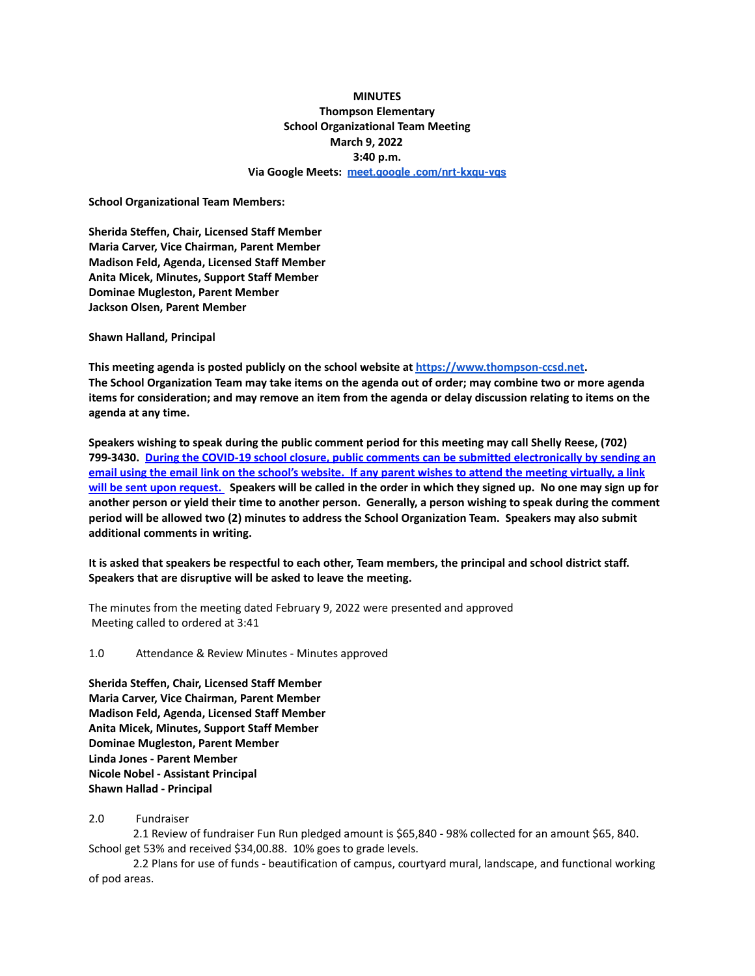## **MINUTES Thompson Elementary School Organizational Team Meeting March 9, 2022 3:40 p.m. Via Google Meets: [meet.google .com/nrt-kxqu-vqs](http://meet.google.com/nrt-kxqu-vqs)**

**School Organizational Team Members:**

**Sherida Steffen, Chair, Licensed Staff Member Maria Carver, Vice Chairman, Parent Member Madison Feld, Agenda, Licensed Staff Member Anita Micek, Minutes, Support Staff Member Dominae Mugleston, Parent Member Jackson Olsen, Parent Member**

**Shawn Halland, Principal**

**This meeting agenda is posted publicly on the school website at <https://www.thompson-ccsd.net>.** The School Organization Team may take items on the agenda out of order; may combine two or more agenda items for consideration; and may remove an item from the agenda or delay discussion relating to items on the **agenda at any time.**

**Speakers wishing to speak during the public comment period for this meeting may call Shelly Reese, (702) 799-3430. During the COVID-19 school closure, public comments can be submitted electronically by sending an** email using the email link on the school's website. If any parent wishes to attend the meeting virtually, a link will be sent upon request. Speakers will be called in the order in which they signed up. No one may sign up for another person or yield their time to another person. Generally, a person wishing to speak during the comment **period will be allowed two (2) minutes to address the School Organization Team. Speakers may also submit additional comments in writing.**

It is asked that speakers be respectful to each other, Team members, the principal and school district staff. **Speakers that are disruptive will be asked to leave the meeting.**

The minutes from the meeting dated February 9, 2022 were presented and approved Meeting called to ordered at 3:41

1.0 Attendance & Review Minutes - Minutes approved

**Sherida Steffen, Chair, Licensed Staff Member Maria Carver, Vice Chairman, Parent Member Madison Feld, Agenda, Licensed Staff Member Anita Micek, Minutes, Support Staff Member Dominae Mugleston, Parent Member Linda Jones - Parent Member Nicole Nobel - Assistant Principal Shawn Hallad - Principal**

## 2.0 Fundraiser

2.1 Review of fundraiser Fun Run pledged amount is \$65,840 - 98% collected for an amount \$65, 840. School get 53% and received \$34,00.88. 10% goes to grade levels.

2.2 Plans for use of funds - beautification of campus, courtyard mural, landscape, and functional working of pod areas.